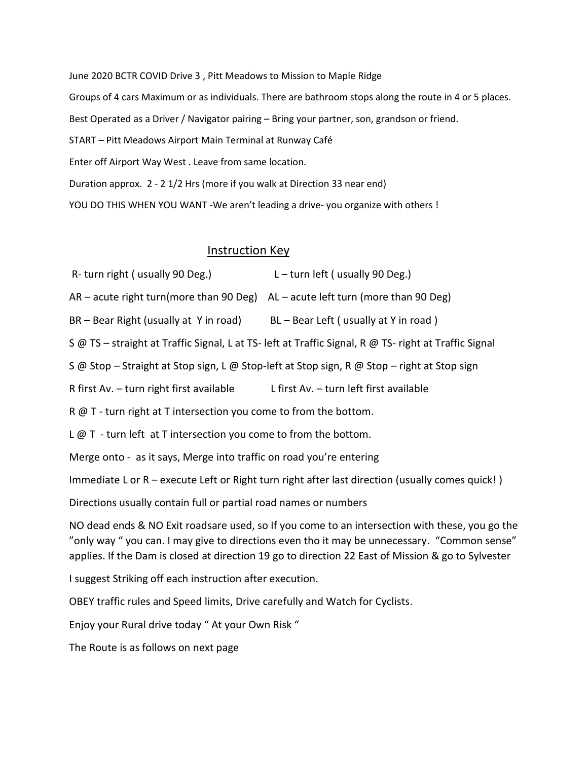June 2020 BCTR COVID Drive 3 , Pitt Meadows to Mission to Maple Ridge Groups of 4 cars Maximum or as individuals. There are bathroom stops along the route in 4 or 5 places. Best Operated as a Driver / Navigator pairing – Bring your partner, son, grandson or friend. START – Pitt Meadows Airport Main Terminal at Runway Café Enter off Airport Way West . Leave from same location. Duration approx. 2 - 2 1/2 Hrs (more if you walk at Direction 33 near end)

YOU DO THIS WHEN YOU WANT -We aren't leading a drive- you organize with others !

## Instruction Key

- R- turn right ( usually 90 Deg.)  $L turn$  left ( usually 90 Deg.)
- AR acute right turn(more than 90 Deg) AL acute left turn (more than 90 Deg)

BR – Bear Right (usually at Y in road) BL – Bear Left ( usually at Y in road )

S @ TS – straight at Traffic Signal, L at TS- left at Traffic Signal, R @ TS- right at Traffic Signal

S @ Stop – Straight at Stop sign, L @ Stop-left at Stop sign, R @ Stop – right at Stop sign

R first Av. – turn right first available L first Av. – turn left first available

R @ T - turn right at T intersection you come to from the bottom.

 $L \varnothing$  T - turn left at T intersection you come to from the bottom.

Merge onto - as it says, Merge into traffic on road you're entering

Immediate L or R – execute Left or Right turn right after last direction (usually comes quick! )

Directions usually contain full or partial road names or numbers

NO dead ends & NO Exit roadsare used, so If you come to an intersection with these, you go the "only way " you can. I may give to directions even tho it may be unnecessary. "Common sense" applies. If the Dam is closed at direction 19 go to direction 22 East of Mission & go to Sylvester

I suggest Striking off each instruction after execution.

OBEY traffic rules and Speed limits, Drive carefully and Watch for Cyclists.

Enjoy your Rural drive today " At your Own Risk "

The Route is as follows on next page